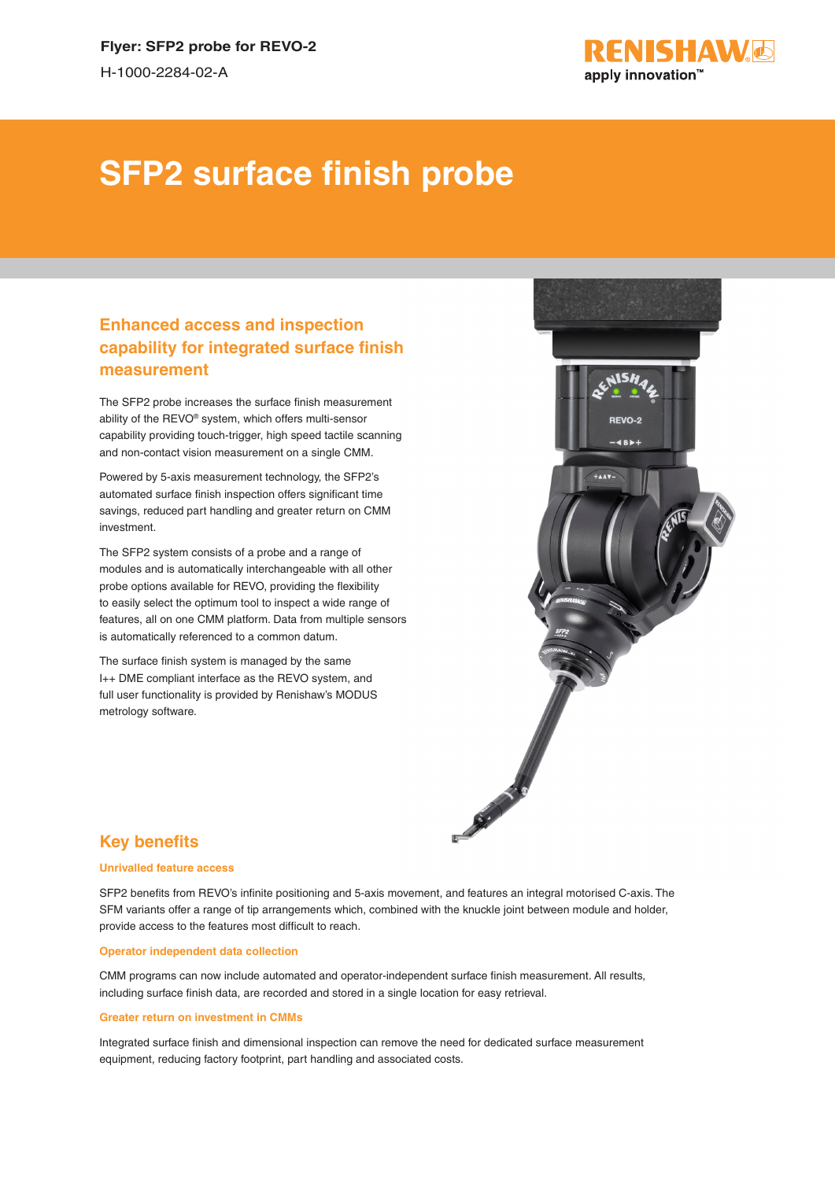

# **SFP2 surface finish probe**

## **Enhanced access and inspection capability for integrated surface finish measurement**

The SFP2 probe increases the surface finish measurement ability of the REVO® system, which offers multi-sensor capability providing touch-trigger, high speed tactile scanning and non-contact vision measurement on a single CMM.

Powered by 5-axis measurement technology, the SFP2's automated surface finish inspection offers significant time savings, reduced part handling and greater return on CMM investment.

The SFP2 system consists of a probe and a range of modules and is automatically interchangeable with all other probe options available for REVO, providing the flexibility to easily select the optimum tool to inspect a wide range of features, all on one CMM platform. Data from multiple sensors is automatically referenced to a common datum.

The surface finish system is managed by the same I++ DME compliant interface as the REVO system, and full user functionality is provided by Renishaw's MODUS metrology software.



## **Key benefits**

#### **Unrivalled feature access**

SFP2 benefits from REVO's infinite positioning and 5-axis movement, and features an integral motorised C-axis. The SFM variants offer a range of tip arrangements which, combined with the knuckle joint between module and holder, provide access to the features most difficult to reach.

#### **Operator independent data collection**

CMM programs can now include automated and operator-independent surface finish measurement. All results, including surface finish data, are recorded and stored in a single location for easy retrieval.

#### **Greater return on investment in CMMs**

Integrated surface finish and dimensional inspection can remove the need for dedicated surface measurement equipment, reducing factory footprint, part handling and associated costs.